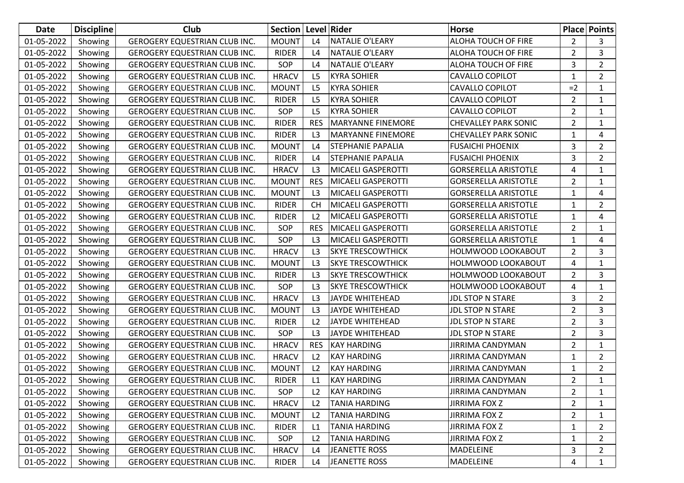| Date       | <b>Discipline</b> | Club                                 | Section Level Rider |                |                           | <b>Horse</b>                |                | <b>Place Points</b> |
|------------|-------------------|--------------------------------------|---------------------|----------------|---------------------------|-----------------------------|----------------|---------------------|
| 01-05-2022 | Showing           | GEROGERY EQUESTRIAN CLUB INC.        | <b>MOUNT</b>        | L4             | <b>NATALIE O'LEARY</b>    | ALOHA TOUCH OF FIRE         | 2              | 3                   |
| 01-05-2022 | Showing           | <b>GEROGERY EQUESTRIAN CLUB INC.</b> | <b>RIDER</b>        | L4             | <b>NATALIE O'LEARY</b>    | ALOHA TOUCH OF FIRE         | $\overline{2}$ | 3                   |
| 01-05-2022 | Showing           | <b>GEROGERY EQUESTRIAN CLUB INC.</b> | SOP                 | L4             | <b>NATALIE O'LEARY</b>    | ALOHA TOUCH OF FIRE         | 3              | $\overline{2}$      |
| 01-05-2022 | Showing           | GEROGERY EQUESTRIAN CLUB INC.        | <b>HRACV</b>        | L <sub>5</sub> | <b>KYRA SOHIER</b>        | <b>CAVALLO COPILOT</b>      | $\mathbf{1}$   | $\overline{2}$      |
| 01-05-2022 | Showing           | GEROGERY EQUESTRIAN CLUB INC.        | <b>MOUNT</b>        | L <sub>5</sub> | <b>KYRA SOHIER</b>        | CAVALLO COPILOT             | $=2$           | $\mathbf{1}$        |
| 01-05-2022 | Showing           | GEROGERY EQUESTRIAN CLUB INC.        | <b>RIDER</b>        | L <sub>5</sub> | <b>KYRA SOHIER</b>        | CAVALLO COPILOT             | $\overline{2}$ | 1                   |
| 01-05-2022 | Showing           | GEROGERY EQUESTRIAN CLUB INC.        | SOP                 | L <sub>5</sub> | <b>KYRA SOHIER</b>        | <b>CAVALLO COPILOT</b>      | $\overline{2}$ | $\mathbf{1}$        |
| 01-05-2022 | Showing           | <b>GEROGERY EQUESTRIAN CLUB INC.</b> | <b>RIDER</b>        | <b>RES</b>     | <b>MARYANNE FINEMORE</b>  | <b>CHEVALLEY PARK SONIC</b> | $\overline{2}$ | $\mathbf{1}$        |
| 01-05-2022 | Showing           | GEROGERY EQUESTRIAN CLUB INC.        | <b>RIDER</b>        | L <sub>3</sub> | <b>MARYANNE FINEMORE</b>  | <b>CHEVALLEY PARK SONIC</b> | $\mathbf{1}$   | 4                   |
| 01-05-2022 | Showing           | GEROGERY EQUESTRIAN CLUB INC.        | <b>MOUNT</b>        | L4             | <b>STEPHANIE PAPALIA</b>  | <b>FUSAICHI PHOENIX</b>     | 3              | $\overline{2}$      |
| 01-05-2022 | Showing           | GEROGERY EQUESTRIAN CLUB INC.        | <b>RIDER</b>        | L <sub>4</sub> | <b>STEPHANIE PAPALIA</b>  | <b>FUSAICHI PHOENIX</b>     | 3              | $\overline{2}$      |
| 01-05-2022 | Showing           | GEROGERY EQUESTRIAN CLUB INC.        | <b>HRACV</b>        | L <sub>3</sub> | <b>MICAELI GASPEROTTI</b> | <b>GORSERELLA ARISTOTLE</b> | 4              | $\mathbf{1}$        |
| 01-05-2022 | Showing           | <b>GEROGERY EQUESTRIAN CLUB INC.</b> | <b>MOUNT</b>        | <b>RES</b>     | <b>MICAELI GASPEROTTI</b> | <b>GORSERELLA ARISTOTLE</b> | $\overline{2}$ | 1                   |
| 01-05-2022 | Showing           | GEROGERY EQUESTRIAN CLUB INC.        | <b>MOUNT</b>        | L <sub>3</sub> | <b>MICAELI GASPEROTTI</b> | <b>GORSERELLA ARISTOTLE</b> | $\mathbf{1}$   | 4                   |
| 01-05-2022 | Showing           | GEROGERY EQUESTRIAN CLUB INC.        | <b>RIDER</b>        | <b>CH</b>      | <b>MICAELI GASPEROTTI</b> | <b>GORSERELLA ARISTOTLE</b> | $\mathbf{1}$   | $\overline{2}$      |
| 01-05-2022 | Showing           | GEROGERY EQUESTRIAN CLUB INC.        | <b>RIDER</b>        | L <sub>2</sub> | <b>MICAELI GASPEROTTI</b> | <b>GORSERELLA ARISTOTLE</b> | $\mathbf{1}$   | 4                   |
| 01-05-2022 | Showing           | GEROGERY EQUESTRIAN CLUB INC.        | SOP                 | <b>RES</b>     | <b>MICAELI GASPEROTTI</b> | <b>GORSERELLA ARISTOTLE</b> | $\overline{2}$ | $\mathbf{1}$        |
| 01-05-2022 | Showing           | <b>GEROGERY EQUESTRIAN CLUB INC.</b> | SOP                 | L3             | <b>MICAELI GASPEROTTI</b> | <b>GORSERELLA ARISTOTLE</b> | $\mathbf{1}$   | 4                   |
| 01-05-2022 | Showing           | GEROGERY EQUESTRIAN CLUB INC.        | <b>HRACV</b>        | L <sub>3</sub> | <b>SKYE TRESCOWTHICK</b>  | HOLMWOOD LOOKABOUT          | $\overline{2}$ | 3                   |
| 01-05-2022 | Showing           | GEROGERY EQUESTRIAN CLUB INC.        | <b>MOUNT</b>        | L <sub>3</sub> | <b>SKYE TRESCOWTHICK</b>  | HOLMWOOD LOOKABOUT          | 4              | $\mathbf{1}$        |
| 01-05-2022 | Showing           | GEROGERY EQUESTRIAN CLUB INC.        | <b>RIDER</b>        | L <sub>3</sub> | <b>SKYE TRESCOWTHICK</b>  | HOLMWOOD LOOKABOUT          | $\overline{2}$ | 3                   |
| 01-05-2022 | Showing           | GEROGERY EQUESTRIAN CLUB INC.        | SOP                 | L <sub>3</sub> | <b>SKYE TRESCOWTHICK</b>  | HOLMWOOD LOOKABOUT          | 4              | $\mathbf{1}$        |
| 01-05-2022 | Showing           | <b>GEROGERY EQUESTRIAN CLUB INC.</b> | <b>HRACV</b>        | L <sub>3</sub> | JAYDE WHITEHEAD           | <b>JDL STOP N STARE</b>     | 3              | $\overline{2}$      |
| 01-05-2022 | Showing           | GEROGERY EQUESTRIAN CLUB INC.        | <b>MOUNT</b>        | L <sub>3</sub> | <b>JAYDE WHITEHEAD</b>    | <b>JDL STOP N STARE</b>     | $\overline{2}$ | 3                   |
| 01-05-2022 | Showing           | GEROGERY EQUESTRIAN CLUB INC.        | <b>RIDER</b>        | L2             | <b>JAYDE WHITEHEAD</b>    | <b>JDL STOP N STARE</b>     | $\overline{2}$ | 3                   |
| 01-05-2022 | Showing           | GEROGERY EQUESTRIAN CLUB INC.        | SOP                 | L <sub>3</sub> | <b>JAYDE WHITEHEAD</b>    | <b>JDL STOP N STARE</b>     | $\overline{2}$ | 3                   |
| 01-05-2022 | Showing           | GEROGERY EQUESTRIAN CLUB INC.        | <b>HRACV</b>        | <b>RES</b>     | <b>KAY HARDING</b>        | <b>JIRRIMA CANDYMAN</b>     | $\overline{2}$ | $\mathbf{1}$        |
| 01-05-2022 | Showing           | <b>GEROGERY EQUESTRIAN CLUB INC.</b> | <b>HRACV</b>        | L2             | <b>KAY HARDING</b>        | <b>JIRRIMA CANDYMAN</b>     | 1              | $\overline{2}$      |
| 01-05-2022 | Showing           | GEROGERY EQUESTRIAN CLUB INC.        | <b>MOUNT</b>        | L2             | <b>KAY HARDING</b>        | <b>JIRRIMA CANDYMAN</b>     | $\mathbf{1}$   | $\overline{2}$      |
| 01-05-2022 | Showing           | <b>GEROGERY EQUESTRIAN CLUB INC.</b> | RIDER               | L1             | <b>KAY HARDING</b>        | <b>JIRRIMA CANDYMAN</b>     | $\overline{2}$ | $\mathbf{1}$        |
| 01-05-2022 | Showing           | GEROGERY EQUESTRIAN CLUB INC.        | SOP                 | L2             | <b>KAY HARDING</b>        | <b>JIRRIMA CANDYMAN</b>     | $\overline{2}$ | $\mathbf{1}$        |
| 01-05-2022 | Showing           | GEROGERY EQUESTRIAN CLUB INC.        | <b>HRACV</b>        | L2             | <b>TANIA HARDING</b>      | <b>JIRRIMA FOX Z</b>        | $\overline{2}$ | 1                   |
| 01-05-2022 | Showing           | GEROGERY EQUESTRIAN CLUB INC.        | <b>MOUNT</b>        | L2             | <b>TANIA HARDING</b>      | <b>JIRRIMA FOX Z</b>        | $\overline{2}$ | 1                   |
| 01-05-2022 | Showing           | GEROGERY EQUESTRIAN CLUB INC.        | <b>RIDER</b>        | L1             | <b>TANIA HARDING</b>      | <b>JIRRIMA FOX Z</b>        | $\mathbf{1}$   | $\overline{2}$      |
| 01-05-2022 | Showing           | GEROGERY EQUESTRIAN CLUB INC.        | SOP                 | L2             | <b>TANIA HARDING</b>      | <b>JIRRIMA FOX Z</b>        | 1              | $\overline{2}$      |
| 01-05-2022 | Showing           | GEROGERY EQUESTRIAN CLUB INC.        | <b>HRACV</b>        | L4             | JEANETTE ROSS             | MADELEINE                   | 3              | $\overline{2}$      |
| 01-05-2022 | Showing           | GEROGERY EQUESTRIAN CLUB INC.        | RIDER               | L4             | JEANETTE ROSS             | MADELEINE                   | 4              | $\mathbf{1}$        |